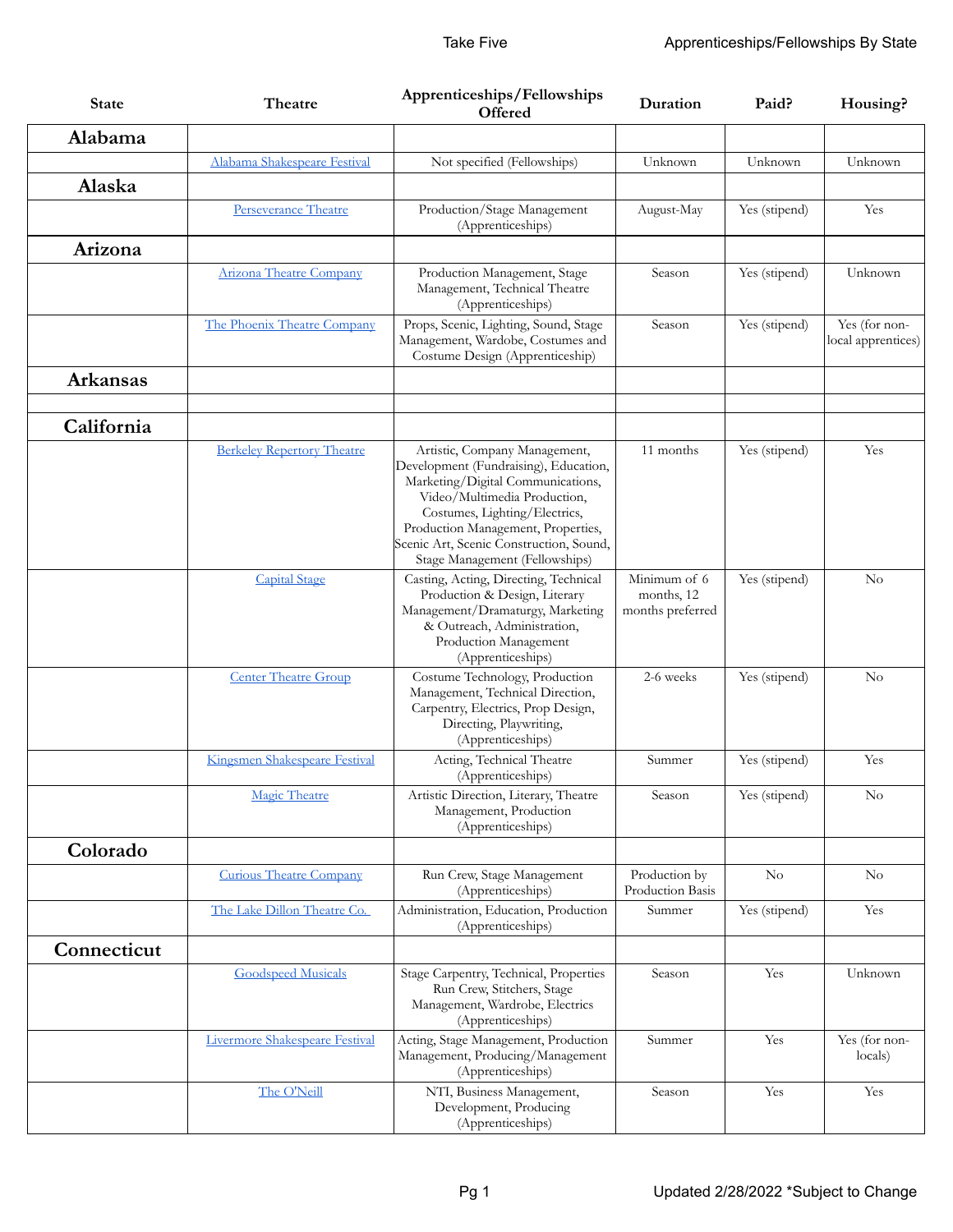| <b>State</b>    | Theatre                           | Apprenticeships/Fellowships<br><b>Offered</b>                                                                                                                                                                                                                                                   | Duration                                       | Paid?         | Housing?                            |
|-----------------|-----------------------------------|-------------------------------------------------------------------------------------------------------------------------------------------------------------------------------------------------------------------------------------------------------------------------------------------------|------------------------------------------------|---------------|-------------------------------------|
| Alabama         |                                   |                                                                                                                                                                                                                                                                                                 |                                                |               |                                     |
|                 | Alabama Shakespeare Festival      | Not specified (Fellowships)                                                                                                                                                                                                                                                                     | Unknown                                        | Unknown       | Unknown                             |
| Alaska          |                                   |                                                                                                                                                                                                                                                                                                 |                                                |               |                                     |
|                 | Perseverance Theatre              | Production/Stage Management<br>(Apprenticeships)                                                                                                                                                                                                                                                | August-May                                     | Yes (stipend) | Yes                                 |
| Arizona         |                                   |                                                                                                                                                                                                                                                                                                 |                                                |               |                                     |
|                 | <b>Arizona Theatre Company</b>    | Production Management, Stage<br>Management, Technical Theatre<br>(Apprenticeships)                                                                                                                                                                                                              | Season                                         | Yes (stipend) | Unknown                             |
|                 | The Phoenix Theatre Company       | Props, Scenic, Lighting, Sound, Stage<br>Management, Wardobe, Costumes and<br>Costume Design (Apprenticeship)                                                                                                                                                                                   | Season                                         | Yes (stipend) | Yes (for non-<br>local apprentices) |
| <b>Arkansas</b> |                                   |                                                                                                                                                                                                                                                                                                 |                                                |               |                                     |
| California      |                                   |                                                                                                                                                                                                                                                                                                 |                                                |               |                                     |
|                 | <b>Berkeley Repertory Theatre</b> | Artistic, Company Management,<br>Development (Fundraising), Education,<br>Marketing/Digital Communications,<br>Video/Multimedia Production,<br>Costumes, Lighting/Electrics,<br>Production Management, Properties,<br>Scenic Art, Scenic Construction, Sound,<br>Stage Management (Fellowships) | 11 months                                      | Yes (stipend) | Yes                                 |
|                 | <b>Capital Stage</b>              | Casting, Acting, Directing, Technical<br>Production & Design, Literary<br>Management/Dramaturgy, Marketing<br>& Outreach, Administration,<br>Production Management<br>(Apprenticeships)                                                                                                         | Minimum of 6<br>months, 12<br>months preferred | Yes (stipend) | $\rm No$                            |
|                 | <b>Center Theatre Group</b>       | Costume Technology, Production<br>Management, Technical Direction,<br>Carpentry, Electrics, Prop Design,<br>Directing, Playwriting,<br>(Apprenticeships)                                                                                                                                        | 2-6 weeks                                      | Yes (stipend) | No                                  |
|                 | Kingsmen Shakespeare Festival     | Acting, Technical Theatre<br>(Apprenticeships)                                                                                                                                                                                                                                                  | Summer                                         | Yes (stipend) | Yes                                 |
|                 | Magic Theatre                     | Artistic Direction, Literary, Theatre<br>Management, Production<br>(Apprenticeships)                                                                                                                                                                                                            | Season                                         | Yes (stipend) | $\rm No$                            |
| Colorado        |                                   |                                                                                                                                                                                                                                                                                                 |                                                |               |                                     |
|                 | <b>Curious Theatre Company</b>    | Run Crew, Stage Management<br>(Apprenticeships)                                                                                                                                                                                                                                                 | Production by<br>Production Basis              | No            | No                                  |
|                 | The Lake Dillon Theatre Co.       | Administration, Education, Production<br>(Apprenticeships)                                                                                                                                                                                                                                      | Summer                                         | Yes (stipend) | Yes                                 |
| Connecticut     |                                   |                                                                                                                                                                                                                                                                                                 |                                                |               |                                     |
|                 | <b>Goodspeed Musicals</b>         | Stage Carpentry, Technical, Properties<br>Run Crew, Stitchers, Stage<br>Management, Wardrobe, Electrics<br>(Apprenticeships)                                                                                                                                                                    | Season                                         | Yes           | Unknown                             |
|                 | Livermore Shakespeare Festival    | Acting, Stage Management, Production<br>Management, Producing/Management<br>(Apprenticeships)                                                                                                                                                                                                   | Summer                                         | Yes           | Yes (for non-<br>locals)            |
|                 | The O'Neill                       | NTI, Business Management,<br>Development, Producing<br>(Apprenticeships)                                                                                                                                                                                                                        | Season                                         | Yes           | Yes                                 |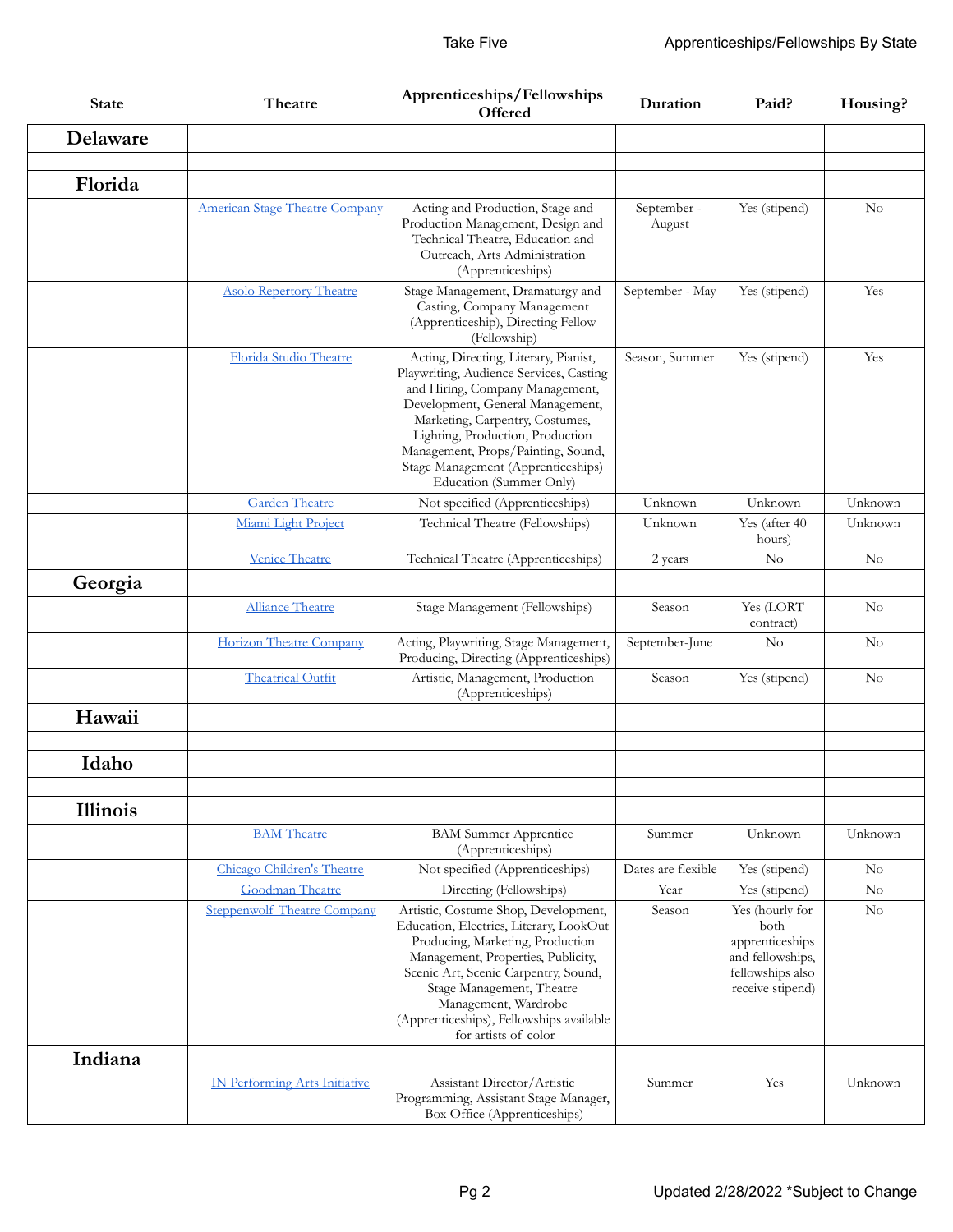| <b>State</b>    | Theatre                              | Apprenticeships/Fellowships<br><b>Offered</b>                                                                                                                                                                                                                                                                                         | Duration              | Paid?                                                                                                  | Housing?       |
|-----------------|--------------------------------------|---------------------------------------------------------------------------------------------------------------------------------------------------------------------------------------------------------------------------------------------------------------------------------------------------------------------------------------|-----------------------|--------------------------------------------------------------------------------------------------------|----------------|
| Delaware        |                                      |                                                                                                                                                                                                                                                                                                                                       |                       |                                                                                                        |                |
|                 |                                      |                                                                                                                                                                                                                                                                                                                                       |                       |                                                                                                        |                |
| Florida         |                                      |                                                                                                                                                                                                                                                                                                                                       |                       |                                                                                                        |                |
|                 | American Stage Theatre Company       | Acting and Production, Stage and<br>Production Management, Design and<br>Technical Theatre, Education and<br>Outreach, Arts Administration<br>(Apprenticeships)                                                                                                                                                                       | September -<br>August | Yes (stipend)                                                                                          | No             |
|                 | <b>Asolo Repertory Theatre</b>       | Stage Management, Dramaturgy and<br>Casting, Company Management<br>(Apprenticeship), Directing Fellow<br>(Fellowship)                                                                                                                                                                                                                 | September - May       | Yes (stipend)                                                                                          | Yes            |
|                 | <b>Florida Studio Theatre</b>        | Acting, Directing, Literary, Pianist,<br>Playwriting, Audience Services, Casting<br>and Hiring, Company Management,<br>Development, General Management,<br>Marketing, Carpentry, Costumes,<br>Lighting, Production, Production<br>Management, Props/Painting, Sound,<br>Stage Management (Apprenticeships)<br>Education (Summer Only) | Season, Summer        | Yes (stipend)                                                                                          | Yes            |
|                 | <b>Garden Theatre</b>                | Not specified (Apprenticeships)                                                                                                                                                                                                                                                                                                       | Unknown               | Unknown                                                                                                | Unknown        |
|                 | Miami Light Project                  | Technical Theatre (Fellowships)                                                                                                                                                                                                                                                                                                       | Unknown               | Yes (after 40<br>hours)                                                                                | Unknown        |
|                 | <b>Venice Theatre</b>                | Technical Theatre (Apprenticeships)                                                                                                                                                                                                                                                                                                   | 2 years               | N <sub>o</sub>                                                                                         | $\rm No$       |
| Georgia         |                                      |                                                                                                                                                                                                                                                                                                                                       |                       |                                                                                                        |                |
|                 | <b>Alliance Theatre</b>              | Stage Management (Fellowships)                                                                                                                                                                                                                                                                                                        | Season                | Yes (LORT<br>contract)                                                                                 | $\rm No$       |
|                 | Horizon Theatre Company              | Acting, Playwriting, Stage Management,<br>Producing, Directing (Apprenticeships)                                                                                                                                                                                                                                                      | September-June        | $\rm No$                                                                                               | $\rm No$       |
|                 | <b>Theatrical Outfit</b>             | Artistic, Management, Production<br>(Apprenticeships)                                                                                                                                                                                                                                                                                 | Season                | Yes (stipend)                                                                                          | N <sub>o</sub> |
| Hawaii          |                                      |                                                                                                                                                                                                                                                                                                                                       |                       |                                                                                                        |                |
|                 |                                      |                                                                                                                                                                                                                                                                                                                                       |                       |                                                                                                        |                |
| Idaho           |                                      |                                                                                                                                                                                                                                                                                                                                       |                       |                                                                                                        |                |
| <b>Illinois</b> |                                      |                                                                                                                                                                                                                                                                                                                                       |                       |                                                                                                        |                |
|                 | <b>BAM</b> Theatre                   | <b>BAM Summer Apprentice</b><br>(Apprenticeships)                                                                                                                                                                                                                                                                                     | Summer                | Unknown                                                                                                | Unknown        |
|                 | Chicago Children's Theatre           | Not specified (Apprenticeships)                                                                                                                                                                                                                                                                                                       | Dates are flexible    | Yes (stipend)                                                                                          | $\rm No$       |
|                 | <b>Goodman Theatre</b>               | Directing (Fellowships)                                                                                                                                                                                                                                                                                                               | Year                  | Yes (stipend)                                                                                          | No             |
|                 | <b>Steppenwolf Theatre Company</b>   | Artistic, Costume Shop, Development,<br>Education, Electrics, Literary, LookOut<br>Producing, Marketing, Production<br>Management, Properties, Publicity,<br>Scenic Art, Scenic Carpentry, Sound,<br>Stage Management, Theatre<br>Management, Wardrobe<br>(Apprenticeships), Fellowships available<br>for artists of color            | Season                | Yes (hourly for<br>both<br>apprenticeships<br>and fellowships,<br>fellowships also<br>receive stipend) | $\rm No$       |
| Indiana         |                                      |                                                                                                                                                                                                                                                                                                                                       |                       |                                                                                                        |                |
|                 | <b>IN Performing Arts Initiative</b> | Assistant Director/Artistic<br>Programming, Assistant Stage Manager,<br>Box Office (Apprenticeships)                                                                                                                                                                                                                                  | Summer                | Yes                                                                                                    | Unknown        |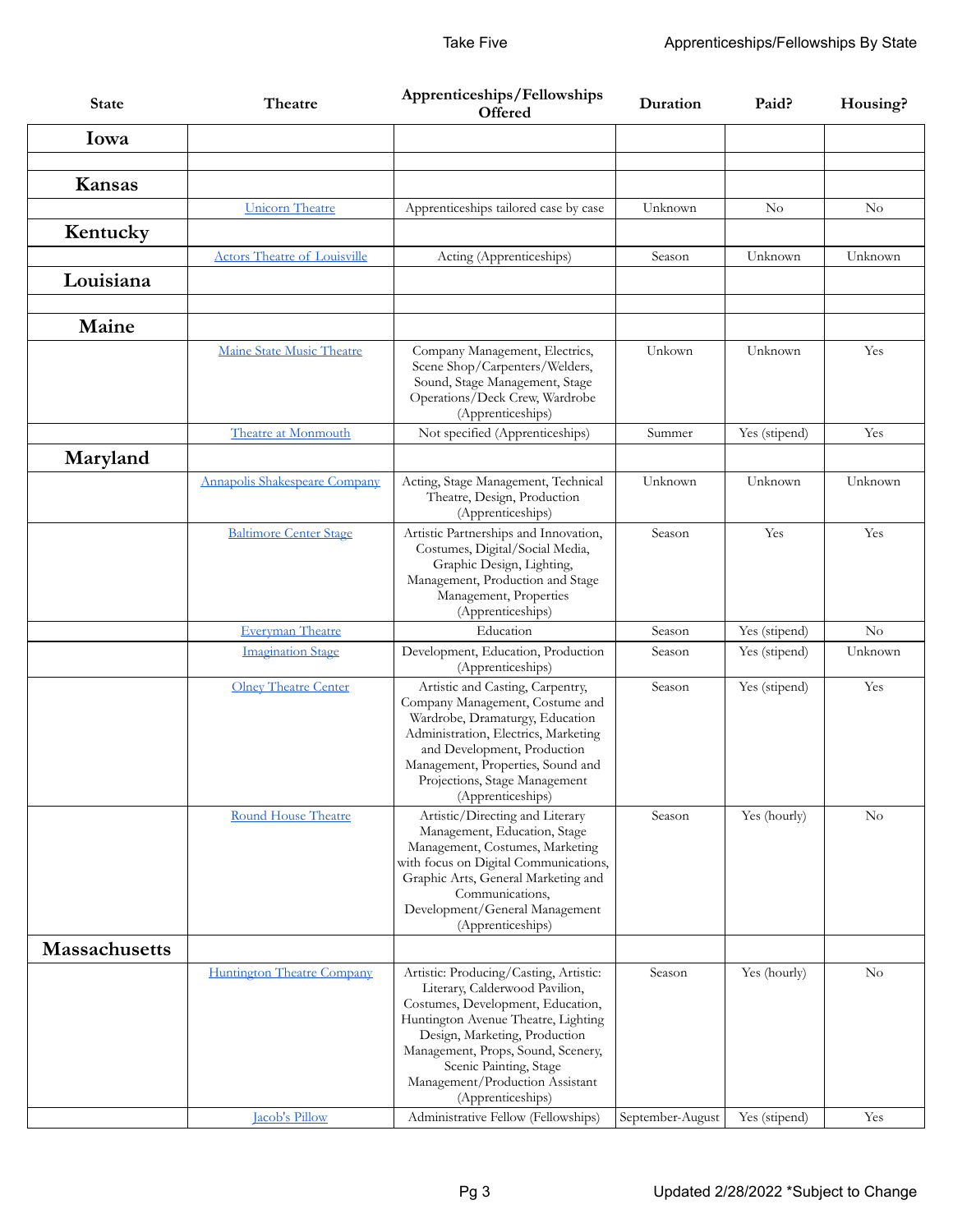| <b>State</b>         | Theatre                             | Apprenticeships/Fellowships<br>Offered                                                                                                                                                                                                                                                                        | Duration         | Paid?         | Housing? |
|----------------------|-------------------------------------|---------------------------------------------------------------------------------------------------------------------------------------------------------------------------------------------------------------------------------------------------------------------------------------------------------------|------------------|---------------|----------|
| Iowa                 |                                     |                                                                                                                                                                                                                                                                                                               |                  |               |          |
|                      |                                     |                                                                                                                                                                                                                                                                                                               |                  |               |          |
| Kansas               |                                     |                                                                                                                                                                                                                                                                                                               |                  |               |          |
|                      | <b>Unicorn Theatre</b>              | Apprenticeships tailored case by case                                                                                                                                                                                                                                                                         | Unknown          | No            | No       |
| Kentucky             |                                     |                                                                                                                                                                                                                                                                                                               |                  |               |          |
|                      | <b>Actors Theatre of Louisville</b> | Acting (Apprenticeships)                                                                                                                                                                                                                                                                                      | Season           | Unknown       | Unknown  |
| Louisiana            |                                     |                                                                                                                                                                                                                                                                                                               |                  |               |          |
| Maine                |                                     |                                                                                                                                                                                                                                                                                                               |                  |               |          |
|                      | Maine State Music Theatre           | Company Management, Electrics,<br>Scene Shop/Carpenters/Welders,<br>Sound, Stage Management, Stage<br>Operations/Deck Crew, Wardrobe<br>(Apprenticeships)                                                                                                                                                     | Unkown           | Unknown       | Yes      |
|                      | Theatre at Monmouth                 | Not specified (Apprenticeships)                                                                                                                                                                                                                                                                               | Summer           | Yes (stipend) | Yes      |
| Maryland             |                                     |                                                                                                                                                                                                                                                                                                               |                  |               |          |
|                      | Annapolis Shakespeare Company       | Acting, Stage Management, Technical<br>Theatre, Design, Production<br>(Apprenticeships)                                                                                                                                                                                                                       | Unknown          | Unknown       | Unknown  |
|                      | <b>Baltimore Center Stage</b>       | Artistic Partnerships and Innovation,<br>Costumes, Digital/Social Media,<br>Graphic Design, Lighting,<br>Management, Production and Stage<br>Management, Properties<br>(Apprenticeships)                                                                                                                      | Season           | Yes           | Yes      |
|                      | <b>Everyman Theatre</b>             | Education                                                                                                                                                                                                                                                                                                     | Season           | Yes (stipend) | $\rm No$ |
|                      | <b>Imagination Stage</b>            | Development, Education, Production<br>(Apprenticeships)                                                                                                                                                                                                                                                       | Season           | Yes (stipend) | Unknown  |
|                      | <b>Olney Theatre Center</b>         | Artistic and Casting, Carpentry,<br>Company Management, Costume and<br>Wardrobe, Dramaturgy, Education<br>Administration, Electrics, Marketing<br>and Development, Production<br>Management, Properties, Sound and<br>Projections, Stage Management<br>(Apprenticeships)                                      | Season           | Yes (stipend) | Yes      |
|                      | <b>Round House Theatre</b>          | Artistic/Directing and Literary<br>Management, Education, Stage<br>Management, Costumes, Marketing<br>with focus on Digital Communications,<br>Graphic Arts, General Marketing and<br>Communications,<br>Development/General Management<br>(Apprenticeships)                                                  | Season           | Yes (hourly)  | No       |
| <b>Massachusetts</b> |                                     |                                                                                                                                                                                                                                                                                                               |                  |               |          |
|                      | Huntington Theatre Company          | Artistic: Producing/Casting, Artistic:<br>Literary, Calderwood Pavilion,<br>Costumes, Development, Education,<br>Huntington Avenue Theatre, Lighting<br>Design, Marketing, Production<br>Management, Props, Sound, Scenery,<br>Scenic Painting, Stage<br>Management/Production Assistant<br>(Apprenticeships) | Season           | Yes (hourly)  | No       |
|                      | <b>Jacob's Pillow</b>               | Administrative Fellow (Fellowships)                                                                                                                                                                                                                                                                           | September-August | Yes (stipend) | Yes      |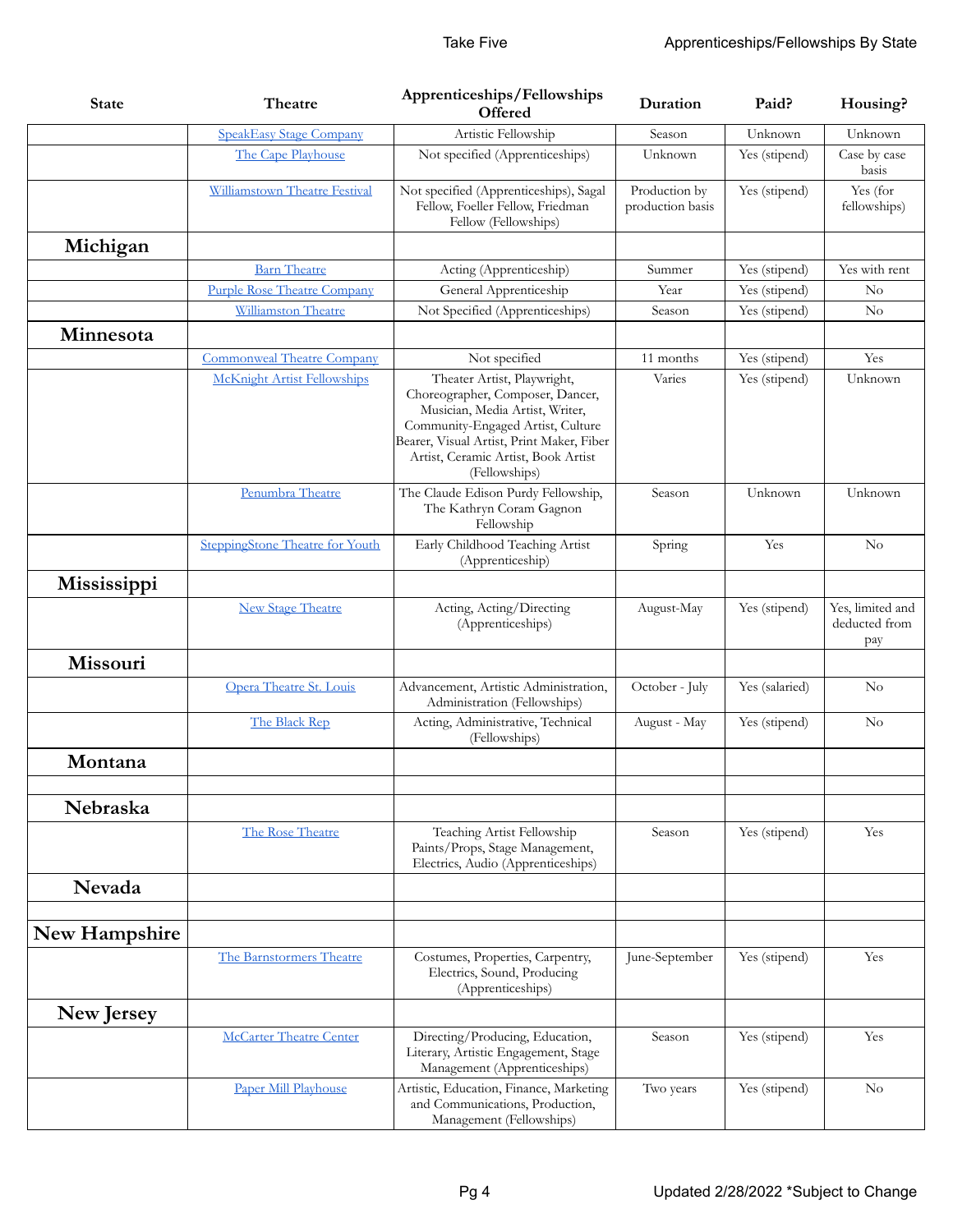| <b>State</b>  | Theatre                            | Apprenticeships/Fellowships<br><b>Offered</b>                                                                                                                                                                                                | Duration                          | Paid?          | Housing?                                 |
|---------------|------------------------------------|----------------------------------------------------------------------------------------------------------------------------------------------------------------------------------------------------------------------------------------------|-----------------------------------|----------------|------------------------------------------|
|               | <b>SpeakEasy Stage Company</b>     | Artistic Fellowship                                                                                                                                                                                                                          | Season                            | Unknown        | Unknown                                  |
|               | The Cape Playhouse                 | Not specified (Apprenticeships)                                                                                                                                                                                                              | Unknown                           | Yes (stipend)  | Case by case<br>basis                    |
|               | Williamstown Theatre Festival      | Not specified (Apprenticeships), Sagal<br>Fellow, Foeller Fellow, Friedman<br>Fellow (Fellowships)                                                                                                                                           | Production by<br>production basis | Yes (stipend)  | Yes (for<br>fellowships)                 |
| Michigan      |                                    |                                                                                                                                                                                                                                              |                                   |                |                                          |
|               | <b>Barn Theatre</b>                | Acting (Apprenticeship)                                                                                                                                                                                                                      | Summer                            | Yes (stipend)  | Yes with rent                            |
|               | <b>Purple Rose Theatre Company</b> | General Apprenticeship                                                                                                                                                                                                                       | Year                              | Yes (stipend)  | $\rm No$                                 |
|               | Williamston Theatre                | Not Specified (Apprenticeships)                                                                                                                                                                                                              | Season                            | Yes (stipend)  | $\rm No$                                 |
| Minnesota     |                                    |                                                                                                                                                                                                                                              |                                   |                |                                          |
|               | <b>Commonweal Theatre Company</b>  | Not specified                                                                                                                                                                                                                                | 11 months                         | Yes (stipend)  | Yes                                      |
|               | <b>McKnight Artist Fellowships</b> | Theater Artist, Playwright,<br>Choreographer, Composer, Dancer,<br>Musician, Media Artist, Writer,<br>Community-Engaged Artist, Culture<br>Bearer, Visual Artist, Print Maker, Fiber<br>Artist, Ceramic Artist, Book Artist<br>(Fellowships) | Varies                            | Yes (stipend)  | Unknown                                  |
|               | Penumbra Theatre                   | The Claude Edison Purdy Fellowship,<br>The Kathryn Coram Gagnon<br>Fellowship                                                                                                                                                                | Season                            | Unknown        | Unknown                                  |
|               | SteppingStone Theatre for Youth    | Early Childhood Teaching Artist<br>(Apprenticeship)                                                                                                                                                                                          | Spring                            | Yes            | No                                       |
| Mississippi   |                                    |                                                                                                                                                                                                                                              |                                   |                |                                          |
|               | <b>New Stage Theatre</b>           | Acting, Acting/Directing<br>(Apprenticeships)                                                                                                                                                                                                | August-May                        | Yes (stipend)  | Yes, limited and<br>deducted from<br>pay |
| Missouri      |                                    |                                                                                                                                                                                                                                              |                                   |                |                                          |
|               | Opera Theatre St. Louis            | Advancement, Artistic Administration,<br>Administration (Fellowships)                                                                                                                                                                        | October - July                    | Yes (salaried) | $\rm No$                                 |
|               | The Black Rep                      | Acting, Administrative, Technical<br>(Fellowships)                                                                                                                                                                                           | August - May                      | Yes (stipend)  | $\rm No$                                 |
| Montana       |                                    |                                                                                                                                                                                                                                              |                                   |                |                                          |
| Nebraska      |                                    |                                                                                                                                                                                                                                              |                                   |                |                                          |
|               | The Rose Theatre                   | Teaching Artist Fellowship<br>Paints/Props, Stage Management,<br>Electrics, Audio (Apprenticeships)                                                                                                                                          | Season                            | Yes (stipend)  | Yes                                      |
| Nevada        |                                    |                                                                                                                                                                                                                                              |                                   |                |                                          |
| New Hampshire |                                    |                                                                                                                                                                                                                                              |                                   |                |                                          |
|               | The Barnstormers Theatre           | Costumes, Properties, Carpentry,<br>Electrics, Sound, Producing<br>(Apprenticeships)                                                                                                                                                         | June-September                    | Yes (stipend)  | Yes                                      |
| New Jersey    |                                    |                                                                                                                                                                                                                                              |                                   |                |                                          |
|               | <b>McCarter Theatre Center</b>     | Directing/Producing, Education,<br>Literary, Artistic Engagement, Stage<br>Management (Apprenticeships)                                                                                                                                      | Season                            | Yes (stipend)  | Yes                                      |
|               | Paper Mill Playhouse               | Artistic, Education, Finance, Marketing<br>and Communications, Production,<br>Management (Fellowships)                                                                                                                                       | Two years                         | Yes (stipend)  | No                                       |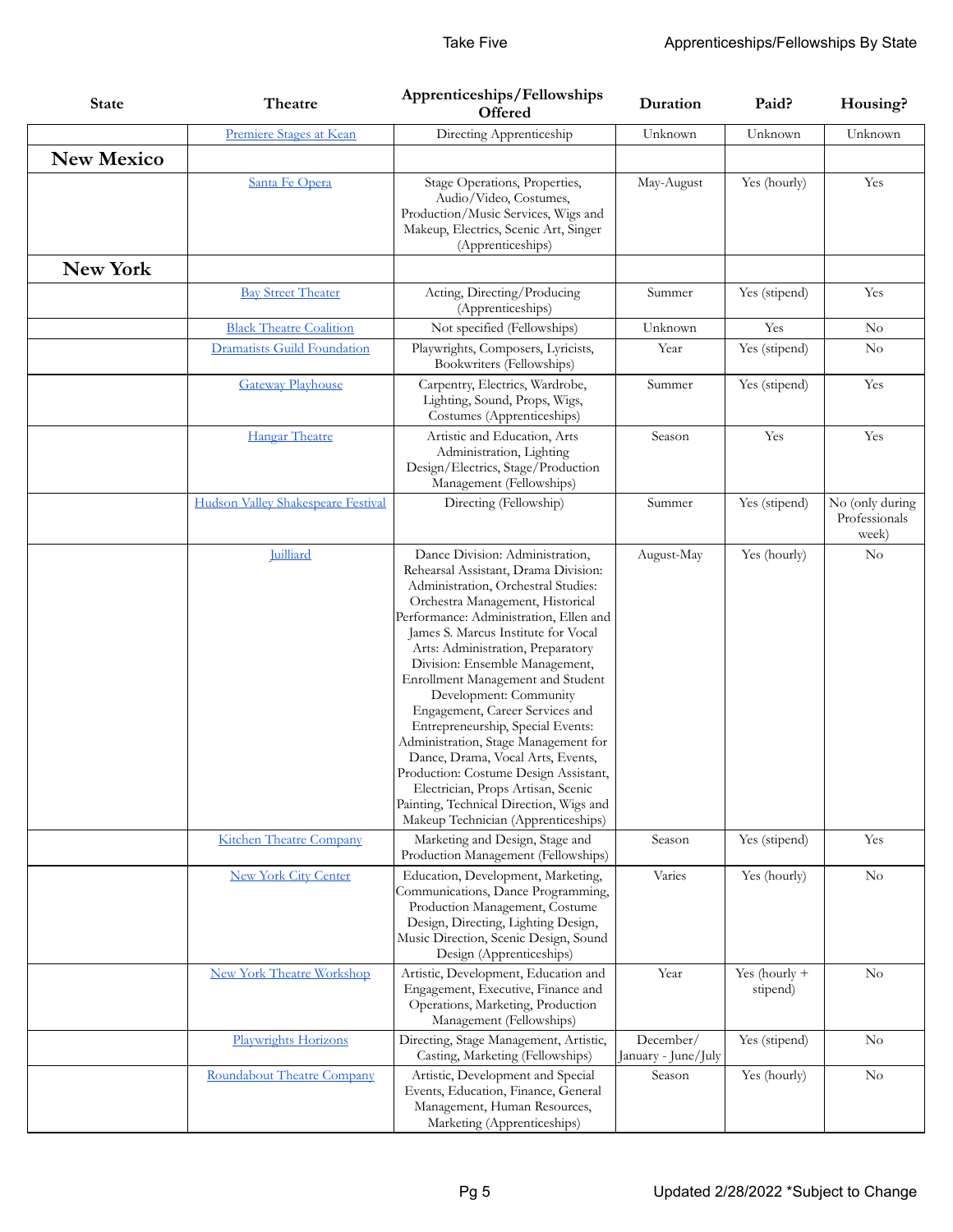| <b>State</b>      | Theatre                            | Apprenticeships/Fellowships<br>Offered                                                                                                                                                                                                                                                                                                                                                                                                                                                                                                                                                                                                                                                          | Duration                         | Paid?                     | Housing?                                  |
|-------------------|------------------------------------|-------------------------------------------------------------------------------------------------------------------------------------------------------------------------------------------------------------------------------------------------------------------------------------------------------------------------------------------------------------------------------------------------------------------------------------------------------------------------------------------------------------------------------------------------------------------------------------------------------------------------------------------------------------------------------------------------|----------------------------------|---------------------------|-------------------------------------------|
|                   | Premiere Stages at Kean            | Directing Apprenticeship                                                                                                                                                                                                                                                                                                                                                                                                                                                                                                                                                                                                                                                                        | Unknown                          | Unknown                   | Unknown                                   |
| <b>New Mexico</b> |                                    |                                                                                                                                                                                                                                                                                                                                                                                                                                                                                                                                                                                                                                                                                                 |                                  |                           |                                           |
|                   | Santa Fe Opera                     | Stage Operations, Properties,<br>Audio/Video, Costumes,<br>Production/Music Services, Wigs and<br>Makeup, Electrics, Scenic Art, Singer<br>(Apprenticeships)                                                                                                                                                                                                                                                                                                                                                                                                                                                                                                                                    | May-August                       | Yes (hourly)              | Yes                                       |
| <b>New York</b>   |                                    |                                                                                                                                                                                                                                                                                                                                                                                                                                                                                                                                                                                                                                                                                                 |                                  |                           |                                           |
|                   | <b>Bay Street Theater</b>          | Acting, Directing/Producing<br>(Apprenticeships)                                                                                                                                                                                                                                                                                                                                                                                                                                                                                                                                                                                                                                                | Summer                           | Yes (stipend)             | Yes                                       |
|                   | <b>Black Theatre Coalition</b>     | Not specified (Fellowships)                                                                                                                                                                                                                                                                                                                                                                                                                                                                                                                                                                                                                                                                     | Unknown                          | Yes                       | $\rm No$                                  |
|                   | <b>Dramatists Guild Foundation</b> | Playwrights, Composers, Lyricists,<br>Bookwriters (Fellowships)                                                                                                                                                                                                                                                                                                                                                                                                                                                                                                                                                                                                                                 | Year                             | Yes (stipend)             | $\rm No$                                  |
|                   | <b>Gateway Playhouse</b>           | Carpentry, Electrics, Wardrobe,<br>Lighting, Sound, Props, Wigs,<br>Costumes (Apprenticeships)                                                                                                                                                                                                                                                                                                                                                                                                                                                                                                                                                                                                  | Summer                           | Yes (stipend)             | Yes                                       |
|                   | <b>Hangar Theatre</b>              | Artistic and Education, Arts<br>Administration, Lighting<br>Design/Electrics, Stage/Production<br>Management (Fellowships)                                                                                                                                                                                                                                                                                                                                                                                                                                                                                                                                                                      | Season                           | Yes                       | Yes                                       |
|                   | Hudson Valley Shakespeare Festival | Directing (Fellowship)                                                                                                                                                                                                                                                                                                                                                                                                                                                                                                                                                                                                                                                                          | Summer                           | Yes (stipend)             | No (only during<br>Professionals<br>week) |
|                   | Juilliard                          | Dance Division: Administration,<br>Rehearsal Assistant, Drama Division:<br>Administration, Orchestral Studies:<br>Orchestra Management, Historical<br>Performance: Administration, Ellen and<br>James S. Marcus Institute for Vocal<br>Arts: Administration, Preparatory<br>Division: Ensemble Management,<br>Enrollment Management and Student<br>Development: Community<br>Engagement, Career Services and<br>Entrepreneurship, Special Events:<br>Administration, Stage Management for<br>Dance, Drama, Vocal Arts, Events,<br>Production: Costume Design Assistant,<br>Electrician, Props Artisan, Scenic<br>Painting, Technical Direction, Wigs and<br>Makeup Technician (Apprenticeships) | August-May                       | Yes (hourly)              | N <sub>o</sub>                            |
|                   | <b>Kitchen Theatre Company</b>     | Marketing and Design, Stage and<br>Production Management (Fellowships)                                                                                                                                                                                                                                                                                                                                                                                                                                                                                                                                                                                                                          | Season                           | Yes (stipend)             | Yes                                       |
|                   | <b>New York City Center</b>        | Education, Development, Marketing,<br>Communications, Dance Programming,<br>Production Management, Costume<br>Design, Directing, Lighting Design,<br>Music Direction, Scenic Design, Sound<br>Design (Apprenticeships)                                                                                                                                                                                                                                                                                                                                                                                                                                                                          | Varies                           | Yes (hourly)              | No                                        |
|                   | <b>New York Theatre Workshop</b>   | Artistic, Development, Education and<br>Engagement, Executive, Finance and<br>Operations, Marketing, Production<br>Management (Fellowships)                                                                                                                                                                                                                                                                                                                                                                                                                                                                                                                                                     | Year                             | Yes (hourly +<br>stipend) | No                                        |
|                   | Playwrights Horizons               | Directing, Stage Management, Artistic,<br>Casting, Marketing (Fellowships)                                                                                                                                                                                                                                                                                                                                                                                                                                                                                                                                                                                                                      | December/<br>January - June/July | Yes (stipend)             | No                                        |
|                   | Roundabout Theatre Company         | Artistic, Development and Special<br>Events, Education, Finance, General<br>Management, Human Resources,<br>Marketing (Apprenticeships)                                                                                                                                                                                                                                                                                                                                                                                                                                                                                                                                                         | Season                           | Yes (hourly)              | $\rm No$                                  |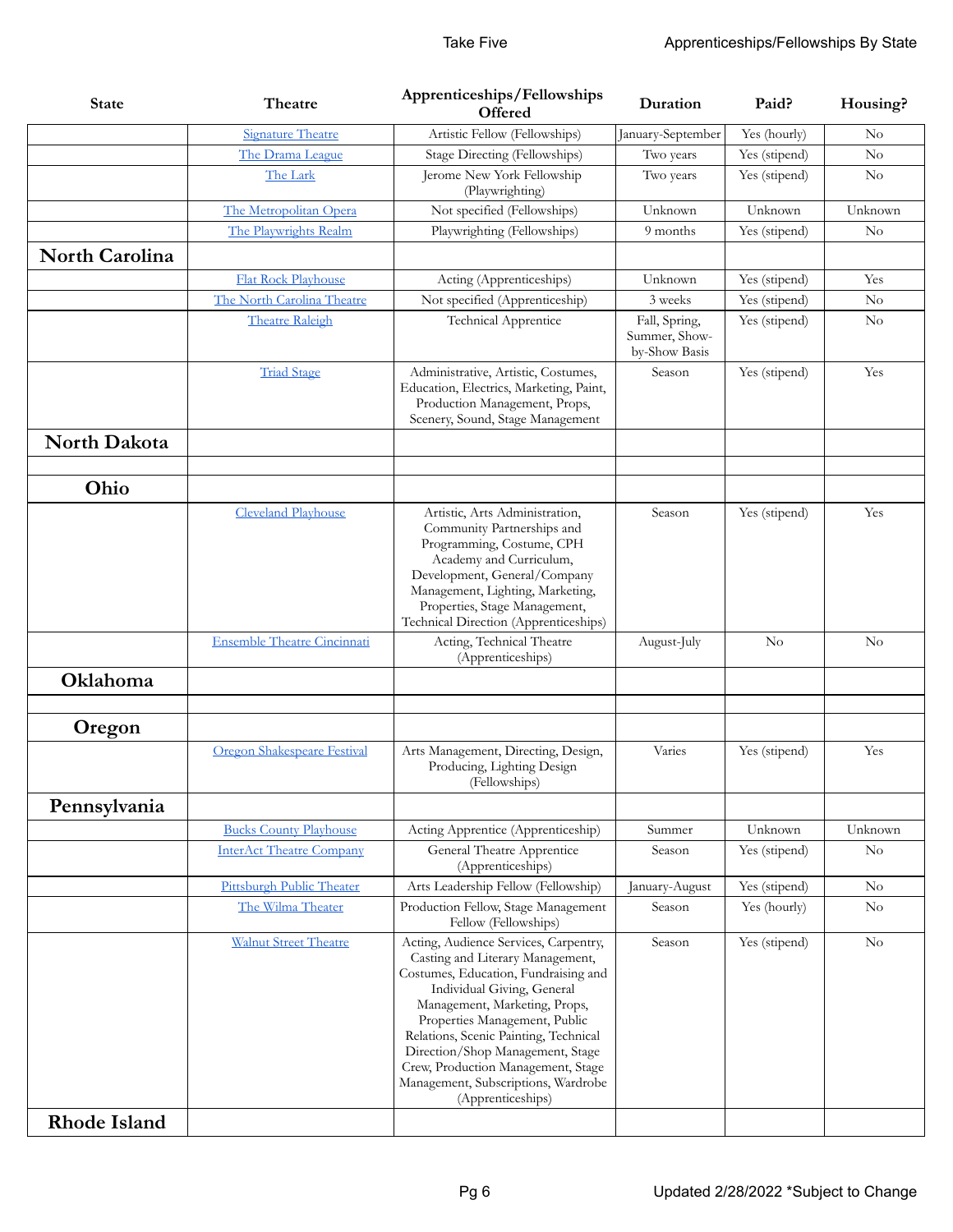| <b>State</b>          | Theatre                            | Apprenticeships/Fellowships<br><b>Offered</b>                                                                                                                                                                                                                                                                                                                                                    | Duration                                        | Paid?         | Housing?       |
|-----------------------|------------------------------------|--------------------------------------------------------------------------------------------------------------------------------------------------------------------------------------------------------------------------------------------------------------------------------------------------------------------------------------------------------------------------------------------------|-------------------------------------------------|---------------|----------------|
|                       | <b>Signature Theatre</b>           | Artistic Fellow (Fellowships)                                                                                                                                                                                                                                                                                                                                                                    | January-September                               | Yes (hourly)  | $\rm No$       |
|                       | The Drama League                   | Stage Directing (Fellowships)                                                                                                                                                                                                                                                                                                                                                                    | Two years                                       | Yes (stipend) | No             |
|                       | The Lark                           | Jerome New York Fellowship<br>(Playwrighting)                                                                                                                                                                                                                                                                                                                                                    | Two years                                       | Yes (stipend) | $\rm No$       |
|                       | The Metropolitan Opera             | Not specified (Fellowships)                                                                                                                                                                                                                                                                                                                                                                      | Unknown                                         | Unknown       | Unknown        |
|                       | The Playwrights Realm              | Playwrighting (Fellowships)                                                                                                                                                                                                                                                                                                                                                                      | 9 months                                        | Yes (stipend) | No             |
| <b>North Carolina</b> |                                    |                                                                                                                                                                                                                                                                                                                                                                                                  |                                                 |               |                |
|                       | <b>Flat Rock Playhouse</b>         | Acting (Apprenticeships)                                                                                                                                                                                                                                                                                                                                                                         | Unknown                                         | Yes (stipend) | Yes            |
|                       | The North Carolina Theatre         | Not specified (Apprenticeship)                                                                                                                                                                                                                                                                                                                                                                   | 3 weeks                                         | Yes (stipend) | $\rm No$       |
|                       | <b>Theatre Raleigh</b>             | <b>Technical Apprentice</b>                                                                                                                                                                                                                                                                                                                                                                      | Fall, Spring,<br>Summer, Show-<br>by-Show Basis | Yes (stipend) | $\rm No$       |
|                       | <b>Triad Stage</b>                 | Administrative, Artistic, Costumes,<br>Education, Electrics, Marketing, Paint,<br>Production Management, Props,<br>Scenery, Sound, Stage Management                                                                                                                                                                                                                                              | Season                                          | Yes (stipend) | Yes            |
| North Dakota          |                                    |                                                                                                                                                                                                                                                                                                                                                                                                  |                                                 |               |                |
| Ohio                  |                                    |                                                                                                                                                                                                                                                                                                                                                                                                  |                                                 |               |                |
|                       | <b>Cleveland Playhouse</b>         | Artistic, Arts Administration,<br>Community Partnerships and<br>Programming, Costume, CPH<br>Academy and Curriculum,<br>Development, General/Company<br>Management, Lighting, Marketing,<br>Properties, Stage Management,<br>Technical Direction (Apprenticeships)                                                                                                                               | Season                                          | Yes (stipend) | Yes            |
|                       | <b>Ensemble Theatre Cincinnati</b> | Acting, Technical Theatre<br>(Apprenticeships)                                                                                                                                                                                                                                                                                                                                                   | August-July                                     | $\rm No$      | N <sub>o</sub> |
| Oklahoma              |                                    |                                                                                                                                                                                                                                                                                                                                                                                                  |                                                 |               |                |
| Oregon                |                                    |                                                                                                                                                                                                                                                                                                                                                                                                  |                                                 |               |                |
|                       | Oregon Shakespeare Festival        | Arts Management, Directing, Design,<br>Producing, Lighting Design<br>(Fellowships)                                                                                                                                                                                                                                                                                                               | Varies                                          | Yes (stipend) | Yes            |
| Pennsylvania          |                                    |                                                                                                                                                                                                                                                                                                                                                                                                  |                                                 |               |                |
|                       | <b>Bucks County Playhouse</b>      | Acting Apprentice (Apprenticeship)                                                                                                                                                                                                                                                                                                                                                               | Summer                                          | Unknown       | Unknown        |
|                       | <b>InterAct Theatre Company</b>    | General Theatre Apprentice<br>(Apprenticeships)                                                                                                                                                                                                                                                                                                                                                  | Season                                          | Yes (stipend) | No             |
|                       | Pittsburgh Public Theater          | Arts Leadership Fellow (Fellowship)                                                                                                                                                                                                                                                                                                                                                              | January-August                                  | Yes (stipend) | $\rm No$       |
|                       | The Wilma Theater                  | Production Fellow, Stage Management<br>Fellow (Fellowships)                                                                                                                                                                                                                                                                                                                                      | Season                                          | Yes (hourly)  | $\rm No$       |
|                       | <b>Walnut Street Theatre</b>       | Acting, Audience Services, Carpentry,<br>Casting and Literary Management,<br>Costumes, Education, Fundraising and<br>Individual Giving, General<br>Management, Marketing, Props,<br>Properties Management, Public<br>Relations, Scenic Painting, Technical<br>Direction/Shop Management, Stage<br>Crew, Production Management, Stage<br>Management, Subscriptions, Wardrobe<br>(Apprenticeships) | Season                                          | Yes (stipend) | $\rm No$       |
| <b>Rhode Island</b>   |                                    |                                                                                                                                                                                                                                                                                                                                                                                                  |                                                 |               |                |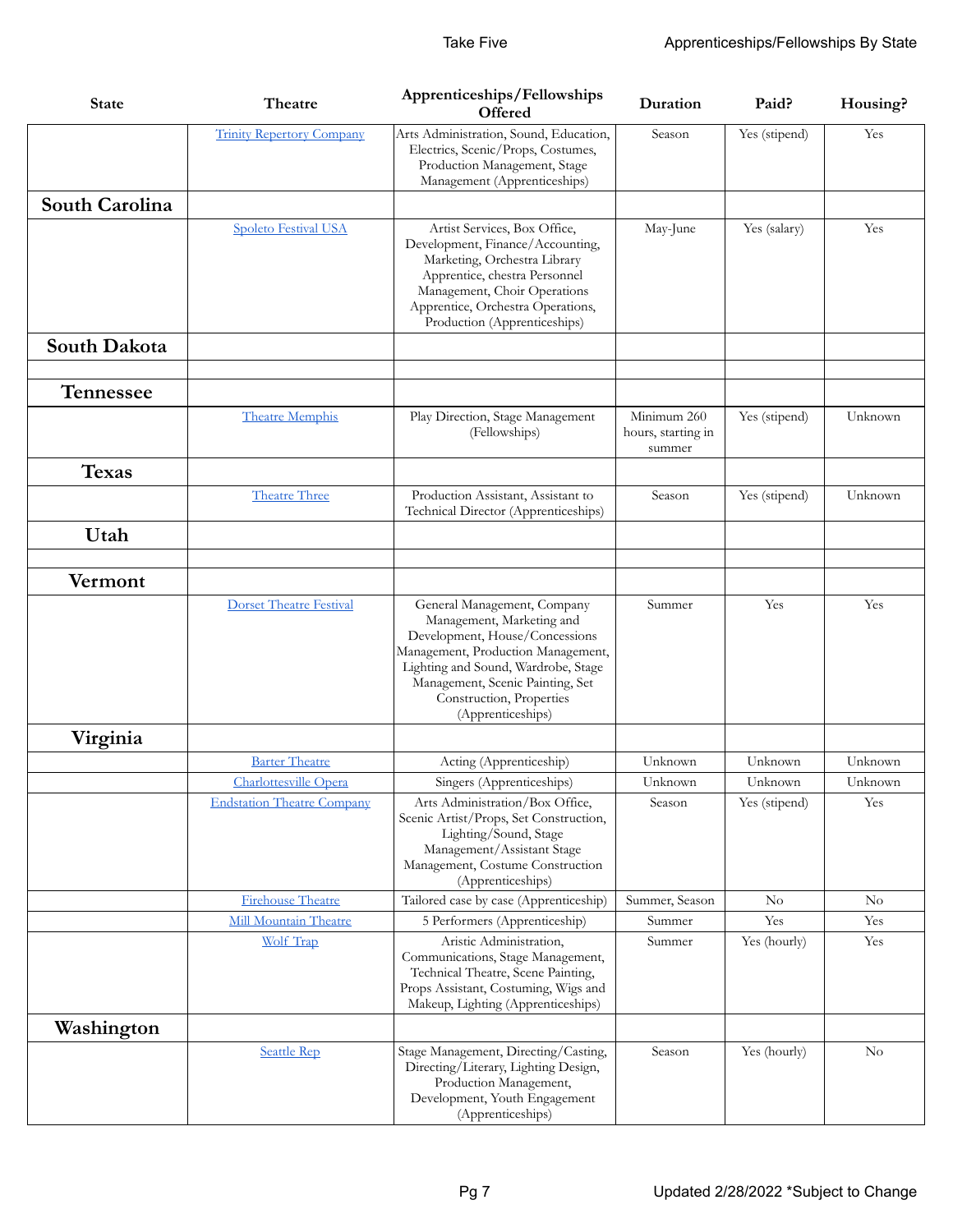| <b>State</b>   | Theatre                           | Apprenticeships/Fellowships<br><b>Offered</b>                                                                                                                                                                                                                | Duration                                    | Paid?         | Housing? |
|----------------|-----------------------------------|--------------------------------------------------------------------------------------------------------------------------------------------------------------------------------------------------------------------------------------------------------------|---------------------------------------------|---------------|----------|
|                | <b>Trinity Repertory Company</b>  | Arts Administration, Sound, Education,<br>Electrics, Scenic/Props, Costumes,<br>Production Management, Stage<br>Management (Apprenticeships)                                                                                                                 | Season                                      | Yes (stipend) | Yes      |
| South Carolina |                                   |                                                                                                                                                                                                                                                              |                                             |               |          |
|                | <b>Spoleto Festival USA</b>       | Artist Services, Box Office,<br>Development, Finance/Accounting,<br>Marketing, Orchestra Library<br>Apprentice, chestra Personnel<br>Management, Choir Operations<br>Apprentice, Orchestra Operations,<br>Production (Apprenticeships)                       | May-June                                    | Yes (salary)  | Yes      |
| South Dakota   |                                   |                                                                                                                                                                                                                                                              |                                             |               |          |
|                |                                   |                                                                                                                                                                                                                                                              |                                             |               |          |
| Tennessee      |                                   |                                                                                                                                                                                                                                                              |                                             |               |          |
|                | <b>Theatre Memphis</b>            | Play Direction, Stage Management<br>(Fellowships)                                                                                                                                                                                                            | Minimum 260<br>hours, starting in<br>summer | Yes (stipend) | Unknown  |
| <b>Texas</b>   |                                   |                                                                                                                                                                                                                                                              |                                             |               |          |
|                | <b>Theatre Three</b>              | Production Assistant, Assistant to<br>Technical Director (Apprenticeships)                                                                                                                                                                                   | Season                                      | Yes (stipend) | Unknown  |
| Utah           |                                   |                                                                                                                                                                                                                                                              |                                             |               |          |
| Vermont        |                                   |                                                                                                                                                                                                                                                              |                                             |               |          |
|                | <b>Dorset Theatre Festival</b>    | General Management, Company<br>Management, Marketing and<br>Development, House/Concessions<br>Management, Production Management,<br>Lighting and Sound, Wardrobe, Stage<br>Management, Scenic Painting, Set<br>Construction, Properties<br>(Apprenticeships) | Summer                                      | Yes           | Yes      |
| Virginia       |                                   |                                                                                                                                                                                                                                                              |                                             |               |          |
|                | <b>Barter Theatre</b>             | Acting (Apprenticeship)                                                                                                                                                                                                                                      | Unknown                                     | Unknown       | Unknown  |
|                | Charlottesville Opera             | Singers (Apprenticeships)                                                                                                                                                                                                                                    | Unknown                                     | Unknown       | Unknown  |
|                | <b>Endstation Theatre Company</b> | Arts Administration/Box Office,<br>Scenic Artist/Props, Set Construction,<br>Lighting/Sound, Stage<br>Management/Assistant Stage<br>Management, Costume Construction<br>(Apprenticeships)                                                                    | Season                                      | Yes (stipend) | Yes      |
|                | Firehouse Theatre                 | Tailored case by case (Apprenticeship)                                                                                                                                                                                                                       | Summer, Season                              | No            | $\rm No$ |
|                | Mill Mountain Theatre             | 5 Performers (Apprenticeship)                                                                                                                                                                                                                                | Summer                                      | Yes           | Yes      |
|                | <b>Wolf Trap</b>                  | Aristic Administration,<br>Communications, Stage Management,<br>Technical Theatre, Scene Painting,<br>Props Assistant, Costuming, Wigs and<br>Makeup, Lighting (Apprenticeships)                                                                             | Summer                                      | Yes (hourly)  | Yes      |
| Washington     |                                   |                                                                                                                                                                                                                                                              |                                             |               |          |
|                | <b>Seattle Rep</b>                | Stage Management, Directing/Casting,<br>Directing/Literary, Lighting Design,<br>Production Management,<br>Development, Youth Engagement<br>(Apprenticeships)                                                                                                 | Season                                      | Yes (hourly)  | No       |